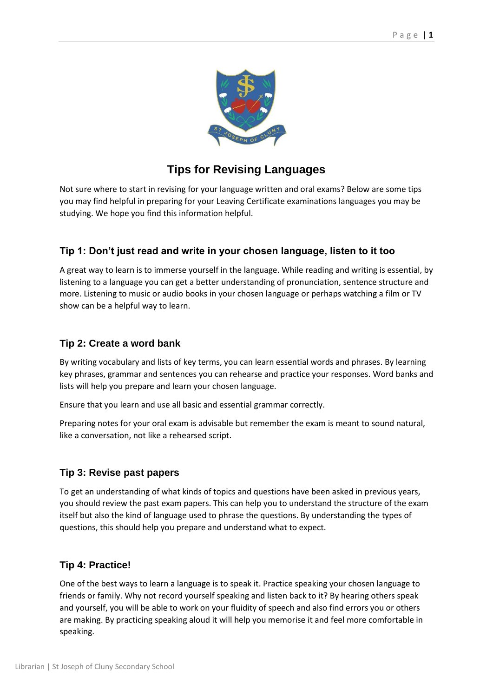

# **Tips for Revising Languages**

Not sure where to start in revising for your language written and oral exams? Below are some tips you may find helpful in preparing for your Leaving Certificate examinations languages you may be studying. We hope you find this information helpful.

## **Tip 1: Don't just read and write in your chosen language, listen to it too**

A great way to learn is to immerse yourself in the language. While reading and writing is essential, by listening to a language you can get a better understanding of pronunciation, sentence structure and more. Listening to music or audio books in your chosen language or perhaps watching a film or TV show can be a helpful way to learn.

### **Tip 2: Create a word bank**

By writing vocabulary and lists of key terms, you can learn essential words and phrases. By learning key phrases, grammar and sentences you can rehearse and practice your responses. Word banks and lists will help you prepare and learn your chosen language.

Ensure that you learn and use all basic and essential grammar correctly.

Preparing notes for your oral exam is advisable but remember the exam is meant to sound natural, like a conversation, not like a rehearsed script.

### **Tip 3: Revise past papers**

To get an understanding of what kinds of topics and questions have been asked in previous years, you should review the past exam papers. This can help you to understand the structure of the exam itself but also the kind of language used to phrase the questions. By understanding the types of questions, this should help you prepare and understand what to expect.

### **Tip 4: Practice!**

One of the best ways to learn a language is to speak it. Practice speaking your chosen language to friends or family. Why not record yourself speaking and listen back to it? By hearing others speak and yourself, you will be able to work on your fluidity of speech and also find errors you or others are making. By practicing speaking aloud it will help you memorise it and feel more comfortable in speaking.